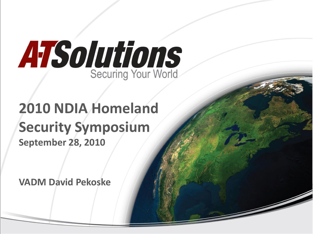

## **2010 NDIA Homeland Security Symposium September 28, 2010**

**VADM David Pekoske**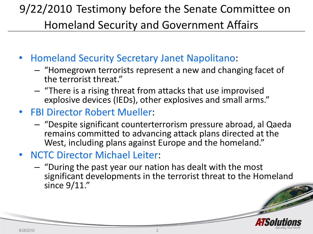### 9/22/2010 Testimony before the Senate Committee on Homeland Security and Government Affairs

- Homeland Security Secretary Janet Napolitano:
	- "Homegrown terrorists represent a new and changing facet of the terrorist threat."
	- "There is a rising threat from attacks that use improvised explosive devices (IEDs), other explosives and small arms."
- FBI Director Robert Mueller:
	- "Despite significant counterterrorism pressure abroad, al Qaeda remains committed to advancing attack plans directed at the West, including plans against Europe and the homeland."
- NCTC Director Michael Leiter:
	- "During the past year our nation has dealt with the most significant developments in the terrorist threat to the Homeland since 9/11."

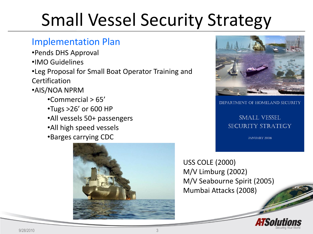# Small Vessel Security Strategy

#### Implementation Plan

- •Pends DHS Approval
- •IMO Guidelines
- •Leg Proposal for Small Boat Operator Training and **Certification**
- •AIS/NOA NPRM
	- •Commercial > 65'
	- •Tugs >26' or 600 HP
	- •All vessels 50+ passengers
	- •All high speed vessels
	- •Barges carrying CDC





DEPARTMENT OF HOMELAND SECURITY

#### **SMALL VESSEL** SECURITY STRATEGY

**JANUARY 2008** 

USS COLE (2000) M/V Limburg (2002) M/V Seabourne Spirit (2005) Mumbai Attacks (2008)

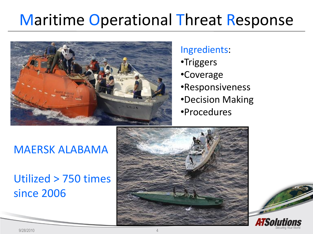## Maritime Operational Threat Response



#### Ingredients:

- •Triggers
- •Coverage
- •Responsiveness
- •Decision Making
- •Procedures

### MAERSK ALABAMA

### Utilized > 750 times since 2006





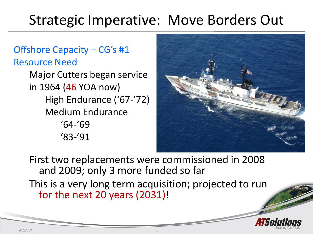## [Stra](http://www.google.com/imgres?imgurl=http://www.uscg.mil/pacarea/cgchamilton/img/forty3.jpg&imgrefurl=http://www.uscg.mil/pacarea/cgchamilton/&usg=__7WYFIb0TviEpxwTag0xTUJyf1ho=&h=413&w=550&sz=125&hl=en&start=1&zoom=1&um=1&itbs=1&tbnid=eU4DVfd34bNt3M:&tbnh=100&tbnw=133&prev=/images%3Fq%3Dcgc%2Bhamilton%26um%3D1%26hl%3Den%26safe%3Doff%26tbs%3Disch:1)tegic Imperative: Move Borders Out

#### Offshore Capacity – CG's #1 Resource Need

Major Cutters began service in 1964 (46 YOA now) High Endurance ('67-'72) Medium Endurance '64-'69 '83-'91



First two replacements were commissioned in 2008 and 2009; only 3 more funded so far

This is a very long term acquisition; projected to run for the next 20 years (2031)!